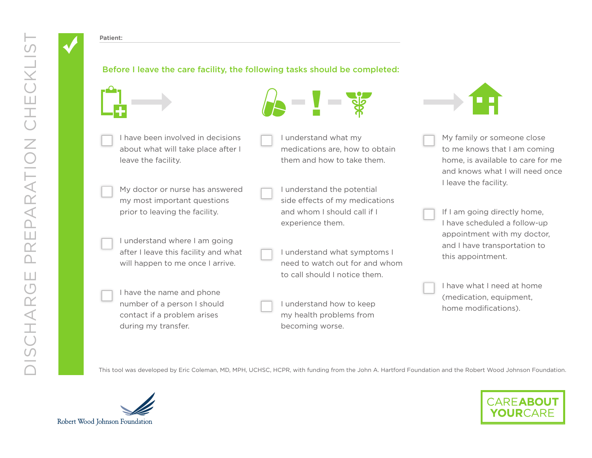## Patient:

## Before I leave the care facility, the following tasks should be completed:





I understand what my

- I have been involved in decisions about what will take place after I leave the facility.
- My doctor or nurse has answered my most important questions prior to leaving the facility.
- I understand where I am going after I leave this facility and what will happen to me once I arrive.
- I have the name and phone number of a person I should contact if a problem arises during my transfer.
- medications are, how to obtain them and how to take them.
- I understand the potential side effects of my medications and whom I should call if I experience them.
- I understand what symptoms I need to watch out for and whom to call should I notice them.
- I understand how to keep my health problems from becoming worse.



- My family or someone close to me knows that I am coming home, is available to care for me and knows what I will need once I leave the facility.
- If I am going directly home, I have scheduled a follow-up appointment with my doctor, and I have transportation to this appointment.
- I have what I need at home (medication, equipment, home modifications).

This tool was developed by Eric Coleman, MD, MPH, UCHSC, HCPR, with funding from the John A. Hartford Foundation and the Robert Wood Johnson Foundation.



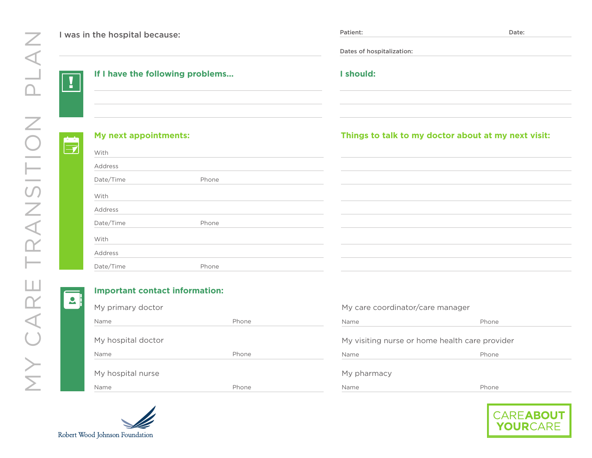Patient: Date: Date: Date: Date: Date: Date: Date: Date: Date: Date: Date: Date: Date: Date: Date: Date: Date: Date: Date: Date: Date: Date: Date: Date: Date: Date: Date: Date: Date: Date: Date: Date: Date: Date: Date: Dat I was in the hospital because: Dates of hospitalization: **If I have the following problems... I should:** !**My next appointments: Things to talk to my doctor about at my next visit:**  $\Rightarrow$ With Address Date/Time Phone With Address Date/Time Phone With Address Date/Time Phone

 $\mathbf{Q}$ 

## **Important contact information:**

| My primary doctor  |       |  |
|--------------------|-------|--|
| Name               | Phone |  |
| My hospital doctor |       |  |
|                    |       |  |
| Name               | Phone |  |
| My hospital nurse  |       |  |

| My care coordinator/care manager               |       |  |  |  |
|------------------------------------------------|-------|--|--|--|
| Name                                           | Phone |  |  |  |
| My visiting nurse or home health care provider |       |  |  |  |
|                                                |       |  |  |  |
| Name                                           | Phone |  |  |  |
| My pharmacy                                    |       |  |  |  |